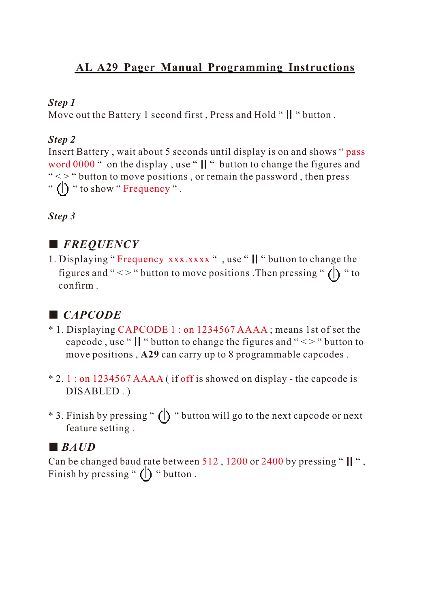## **AL A29 Pager Manual Programming Instructions**

#### *Step 1*

Move out the Battery 1 second first, Press and Hold "  $\parallel$  " button.

### *Step 2*

Insert Battery , wait about 5 seconds until display is on and shows "pass word 0000 " on the display, use " $\parallel$ " button to change the figures and " <> " button to move positions, or remain the password, then press " (I) " to show " Frequency ".

*Step 3*

# ■ *FREQUENCY*

1. Displaying "Frequency xxx.xxxx", use "I' "button to change the figures and " < > " button to move positions . Then pressing "  $\left(\right)$  " to confirm .

# ■ *CAPCODE*

- \* 1. Displaying CAPCODE 1 : on 1234567 AAAA; means 1st of set the capcode, use " $\parallel$ " button to change the figures and " $\lt$  > " button to move positions , **A29** can carry up to 8 programmable capcodes .
- $*$  2.1: on 1234567 AAAA (if off is showed on display the capcode is DISABLED . )
- \* 3. Finish by pressing " () " button will go to the next capcode or next feature setting .

# ■ *BAUD*

Can be changed baud rate between 512, 1200 or 2400 by pressing "  $||$  ", Finish by pressing "  $\left(\right)$  " button.